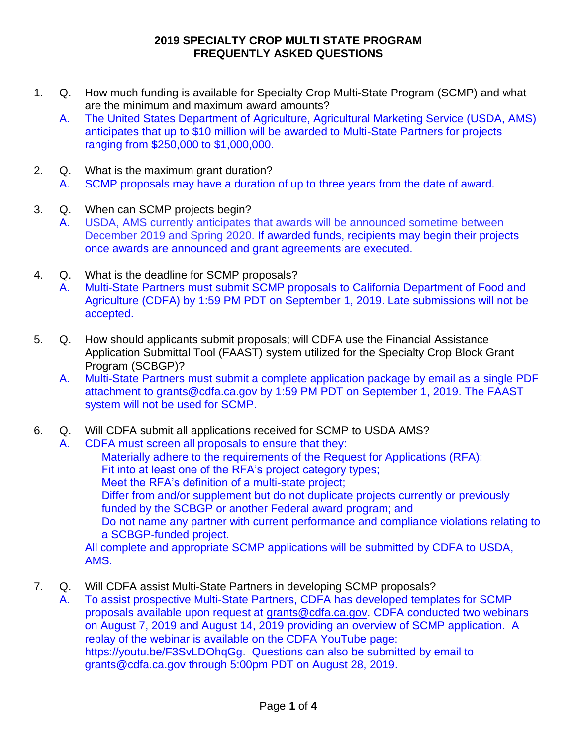- 1. Q. How much funding is available for Specialty Crop Multi-State Program (SCMP) and what are the minimum and maximum award amounts?
	- A. The United States Department of Agriculture, Agricultural Marketing Service (USDA, AMS) anticipates that up to \$10 million will be awarded to Multi-State Partners for projects ranging from \$250,000 to \$1,000,000.
- 2. Q. What is the maximum grant duration?
	- A. SCMP proposals may have a duration of up to three years from the date of award.
- 3. Q. When can SCMP projects begin?
	- A. USDA, AMS currently anticipates that awards will be announced sometime between December 2019 and Spring 2020. If awarded funds, recipients may begin their projects once awards are announced and grant agreements are executed.
- 4. Q. What is the deadline for SCMP proposals?
	- A. Multi-State Partners must submit SCMP proposals to California Department of Food and Agriculture (CDFA) by 1:59 PM PDT on September 1, 2019. Late submissions will not be accepted.
- 5. Q. How should applicants submit proposals; will CDFA use the Financial Assistance Application Submittal Tool (FAAST) system utilized for the Specialty Crop Block Grant Program (SCBGP)?
	- A. Multi-State Partners must submit a complete application package by email as a single PDF attachment to [grants@cdfa.ca.gov](mailto:grants@cdfa.ca.gov) by 1:59 PM PDT on September 1, 2019. The FAAST system will not be used for SCMP.
- 6. Q. Will CDFA submit all applications received for SCMP to USDA AMS?
	- A. CDFA must screen all proposals to ensure that they:

Materially adhere to the requirements of the Request for Applications (RFA); Fit into at least one of the RFA's project category types; Meet the RFA's definition of a multi-state project; Differ from and/or supplement but do not duplicate projects currently or previously funded by the SCBGP or another Federal award program; and Do not name any partner with current performance and compliance violations relating to a SCBGP-funded project. All complete and appropriate SCMP applications will be submitted by CDFA to USDA,

AMS.

- 7. Q. Will CDFA assist Multi-State Partners in developing SCMP proposals?
	- A. To assist prospective Multi-State Partners, CDFA has developed templates for SCMP proposals available upon request at [grants@cdfa.ca.gov.](mailto:grants@cdfa.ca.gov) CDFA conducted two webinars on August 7, 2019 and August 14, 2019 providing an overview of SCMP application. A replay of the webinar is available on the CDFA YouTube page: [https://youtu.be/F3SvLDOhqGg.](https://youtu.be/F3SvLDOhqGg) Questions can also be submitted by email to [grants@cdfa.ca.gov](mailto:grants@cdfa.ca.gov) through 5:00pm PDT on August 28, 2019.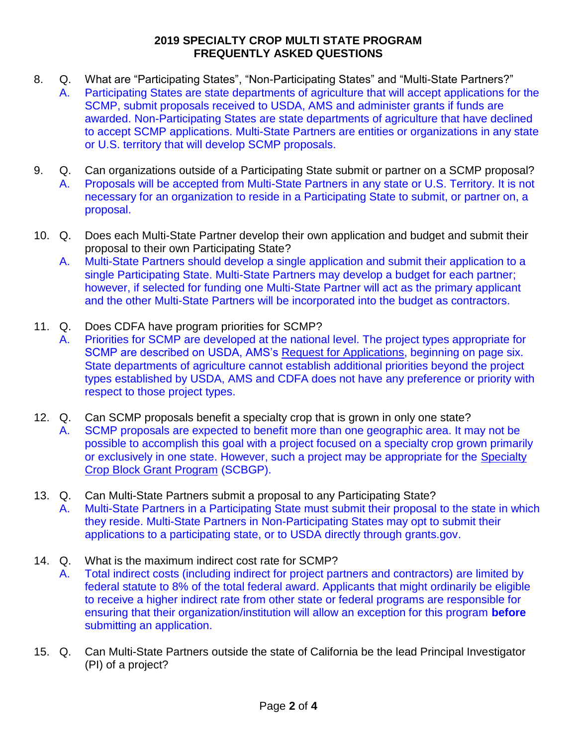- 8. Q. What are "Participating States", "Non-Participating States" and "Multi-State Partners?" A. Participating States are state departments of agriculture that will accept applications for the SCMP, submit proposals received to USDA, AMS and administer grants if funds are awarded. Non-Participating States are state departments of agriculture that have declined to accept SCMP applications. Multi-State Partners are entities or organizations in any state or U.S. territory that will develop SCMP proposals.
- 9. Q. Can organizations outside of a Participating State submit or partner on a SCMP proposal? A. Proposals will be accepted from Multi-State Partners in any state or U.S. Territory. It is not necessary for an organization to reside in a Participating State to submit, or partner on, a proposal.
- 10. Q. Does each Multi-State Partner develop their own application and budget and submit their proposal to their own Participating State?
	- A. Multi-State Partners should develop a single application and submit their application to a single Participating State. Multi-State Partners may develop a budget for each partner; however, if selected for funding one Multi-State Partner will act as the primary applicant and the other Multi-State Partners will be incorporated into the budget as contractors.
- 11. Q. Does CDFA have program priorities for SCMP?
	- A. Priorities for SCMP are developed at the national level. The project types appropriate for SCMP are described on USDA, AMS's [Request for Applications,](https://www.ams.usda.gov/sites/default/files/media/2019_SCMP_Final.pdf) beginning on page six. State departments of agriculture cannot establish additional priorities beyond the project types established by USDA, AMS and CDFA does not have any preference or priority with respect to those project types.
- 12. Q. Can SCMP proposals benefit a specialty crop that is grown in only one state? A. SCMP proposals are expected to benefit more than one geographic area. It may not be possible to accomplish this goal with a project focused on a specialty crop grown primarily or exclusively in one state. However, such a project may be appropriate for the [Specialty](http://www.cdfa.ca.gov/Specialty_Crop_Competitiveness_Grants/)  [Crop Block Grant Program](http://www.cdfa.ca.gov/Specialty_Crop_Competitiveness_Grants/) (SCBGP).
- 13. Q. Can Multi-State Partners submit a proposal to any Participating State?
	- A. Multi-State Partners in a Participating State must submit their proposal to the state in which they reside. Multi-State Partners in Non-Participating States may opt to submit their applications to a participating state, or to USDA directly through grants.gov.
- 14. Q. What is the maximum indirect cost rate for SCMP?
	- A. Total indirect costs (including indirect for project partners and contractors) are limited by federal statute to 8% of the total federal award. Applicants that might ordinarily be eligible to receive a higher indirect rate from other state or federal programs are responsible for ensuring that their organization/institution will allow an exception for this program **before**  submitting an application.
- 15. Q. Can Multi-State Partners outside the state of California be the lead Principal Investigator (PI) of a project?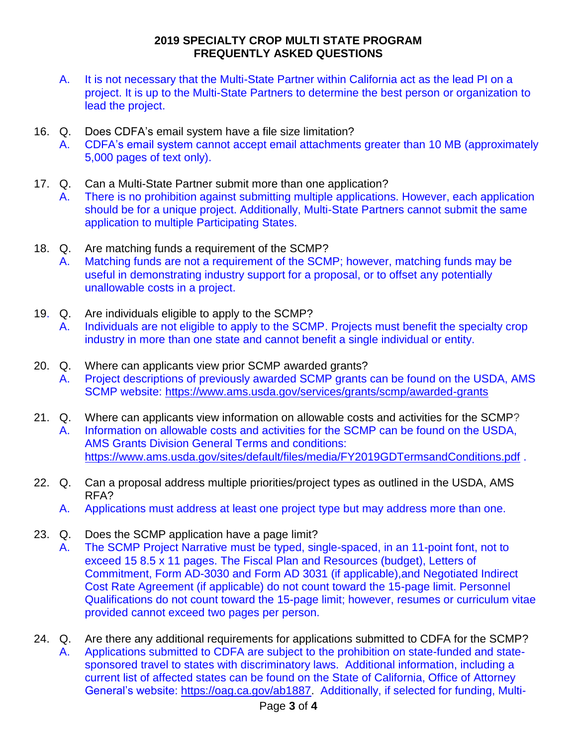- A. It is not necessary that the Multi-State Partner within California act as the lead PI on a project. It is up to the Multi-State Partners to determine the best person or organization to lead the project.
- 16. Q. Does CDFA's email system have a file size limitation?
	- A. CDFA's email system cannot accept email attachments greater than 10 MB (approximately 5,000 pages of text only).
- 17. Q. Can a Multi-State Partner submit more than one application?
	- A. There is no prohibition against submitting multiple applications. However, each application should be for a unique project. Additionally, Multi-State Partners cannot submit the same application to multiple Participating States.
- 18. Q. Are matching funds a requirement of the SCMP? A. Matching funds are not a requirement of the SCMP; however, matching funds may be useful in demonstrating industry support for a proposal, or to offset any potentially unallowable costs in a project.
- 19. Q. Are individuals eligible to apply to the SCMP? A. Individuals are not eligible to apply to the SCMP. Projects must benefit the specialty crop industry in more than one state and cannot benefit a single individual or entity.
- 20. Q. Where can applicants view prior SCMP awarded grants?
	- A. Project descriptions of previously awarded SCMP grants can be found on the USDA, AMS SCMP website:<https://www.ams.usda.gov/services/grants/scmp/awarded-grants>
- 21. Q. Where can applicants view information on allowable costs and activities for the SCMP? A. Information on allowable costs and activities for the SCMP can be found on the USDA, AMS Grants Division General Terms and conditions: <https://www.ams.usda.gov/sites/default/files/media/FY2019GDTermsandConditions.pdf>.
- 22. Q. Can a proposal address multiple priorities/project types as outlined in the USDA, AMS RFA?
	- A. Applications must address at least one project type but may address more than one.
- 23. Q. Does the SCMP application have a page limit?
	- A. The SCMP Project Narrative must be typed, single-spaced, in an 11-point font, not to exceed 15 8.5 x 11 pages. The Fiscal Plan and Resources (budget), Letters of Commitment, Form AD-3030 and Form AD 3031 (if applicable),and Negotiated Indirect Cost Rate Agreement (if applicable) do not count toward the 15-page limit. Personnel Qualifications do not count toward the 15-page limit; however, resumes or curriculum vitae provided cannot exceed two pages per person.
- 24. Q. Are there any additional requirements for applications submitted to CDFA for the SCMP? A. Applications submitted to CDFA are subject to the prohibition on state-funded and statesponsored travel to states with discriminatory laws. Additional information, including a current list of affected states can be found on the State of California, Office of Attorney General's website: [https://oag.ca.gov/ab1887.](https://oag.ca.gov/ab1887) Additionally, if selected for funding, Multi-